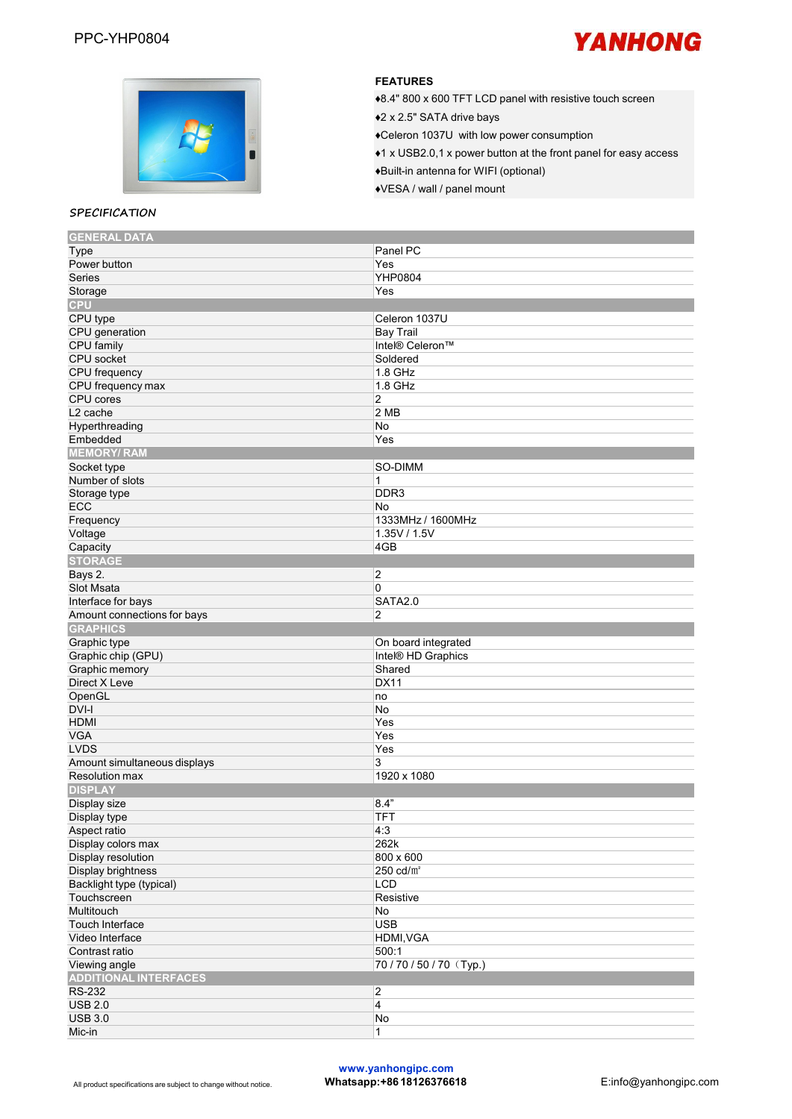



#### **SPECIFICATION**

#### **FEATURES**

◆8.4" 800 x 600 TFT LCD panel with resistive touch screen

♦2 <sup>x</sup> 2.5" SATA drive bays♦Celeron 1037U with low power consumption

♦1 x USB2.0,1 x power button at the front panel foreasy access

♦Built-in antenna for WIFI (optional)

♦VESA / wall / panel mount

| <b>GENERAL DATA</b>          |                     |
|------------------------------|---------------------|
| Type                         | Panel PC            |
| Power button                 | Yes                 |
| <b>Series</b>                | YHP0804             |
| Storage                      | Yes                 |
| <b>CPU</b>                   |                     |
| CPU type                     | Celeron 1037U       |
| CPU generation               | <b>Bay Trail</b>    |
| CPU family                   | Intel® Celeron™     |
| CPU socket                   | Soldered            |
| CPU frequency                | 1.8 GHz             |
|                              |                     |
| CPU frequency max            | 1.8 GHz             |
| CPU cores                    | $\overline{c}$      |
| L <sub>2</sub> cache         | 2MB                 |
| Hyperthreading               | No                  |
| Embedded                     | Yes                 |
| <b>MEMORY/RAM</b>            |                     |
| Socket type                  | SO-DIMM             |
| Number of slots              | 1                   |
| Storage type                 | DDR <sub>3</sub>    |
| ECC                          | No                  |
| Frequency                    | 1333MHz / 1600MHz   |
| Voltage                      | 1.35V / 1.5V        |
| Capacity                     | 4GB                 |
| <b>STORAGE</b>               |                     |
| Bays 2.                      | $\overline{2}$      |
|                              | 0                   |
| Slot Msata                   |                     |
| Interface for bays           | <b>SATA2.0</b>      |
| Amount connections for bays  | $\overline{c}$      |
| <b>GRAPHICS</b>              |                     |
| Graphic type                 | On board integrated |
| Graphic chip (GPU)           | Intel® HD Graphics  |
| Graphic memory               | Shared              |
| Direct X Leve                | <b>DX11</b>         |
| OpenGL                       | no                  |
| DVI-I                        | No                  |
| <b>HDMI</b>                  | Yes                 |
| <b>VGA</b>                   | Yes                 |
| <b>LVDS</b>                  | Yes                 |
| Amount simultaneous displays | 3                   |
| <b>Resolution max</b>        | 1920 x 1080         |
|                              |                     |
|                              |                     |
| <b>DISPLAY</b>               |                     |
| Display size                 | 8.4"                |
| Display type                 | <b>TFT</b>          |
| Aspect ratio                 | 4:3                 |
| Display colors max           | 262k                |
| Display resolution           | 800 x 600           |
| Display brightness           | 250 $cd/m^2$        |
| Backlight type (typical)     | LCD                 |
| Touchscreen                  | Resistive           |
| Multitouch                   | No                  |
| Touch Interface              | <b>USB</b>          |
|                              |                     |
| Video Interface              | HDMI, VGA           |
| Contrast ratio               | 500:1               |
| Viewing angle                | 70/70/50/70 (Typ.)  |
| <b>ADDITIONAL INTERFACES</b> |                     |
| <b>RS-232</b>                | $\overline{2}$      |
| <b>USB 2.0</b>               | $\overline{4}$      |
| <b>USB 3.0</b><br>Mic-in     | No<br>1             |